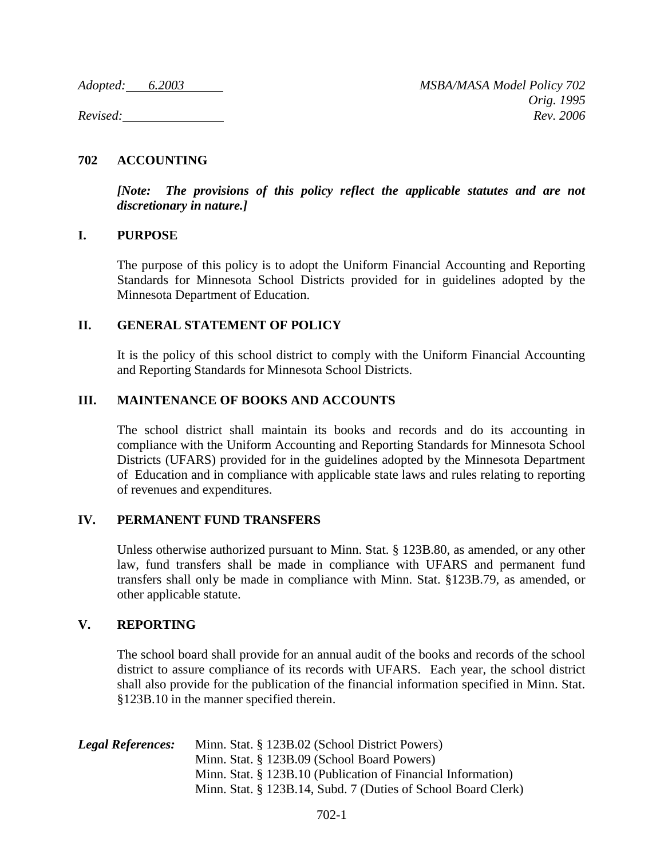# **702 ACCOUNTING**

*[Note: The provisions of this policy reflect the applicable statutes and are not discretionary in nature.]*

## **I. PURPOSE**

The purpose of this policy is to adopt the Uniform Financial Accounting and Reporting Standards for Minnesota School Districts provided for in guidelines adopted by the Minnesota Department of Education.

## **II. GENERAL STATEMENT OF POLICY**

It is the policy of this school district to comply with the Uniform Financial Accounting and Reporting Standards for Minnesota School Districts.

## **III. MAINTENANCE OF BOOKS AND ACCOUNTS**

The school district shall maintain its books and records and do its accounting in compliance with the Uniform Accounting and Reporting Standards for Minnesota School Districts (UFARS) provided for in the guidelines adopted by the Minnesota Department of Education and in compliance with applicable state laws and rules relating to reporting of revenues and expenditures.

## **IV. PERMANENT FUND TRANSFERS**

Unless otherwise authorized pursuant to Minn. Stat. § 123B.80, as amended, or any other law, fund transfers shall be made in compliance with UFARS and permanent fund transfers shall only be made in compliance with Minn. Stat. §123B.79, as amended, or other applicable statute.

## **V. REPORTING**

The school board shall provide for an annual audit of the books and records of the school district to assure compliance of its records with UFARS. Each year, the school district shall also provide for the publication of the financial information specified in Minn. Stat. §123B.10 in the manner specified therein.

| <b>Legal References:</b> | Minn. Stat. § 123B.02 (School District Powers)                |
|--------------------------|---------------------------------------------------------------|
|                          | Minn. Stat. § 123B.09 (School Board Powers)                   |
|                          | Minn. Stat. § 123B.10 (Publication of Financial Information)  |
|                          | Minn. Stat. § 123B.14, Subd. 7 (Duties of School Board Clerk) |